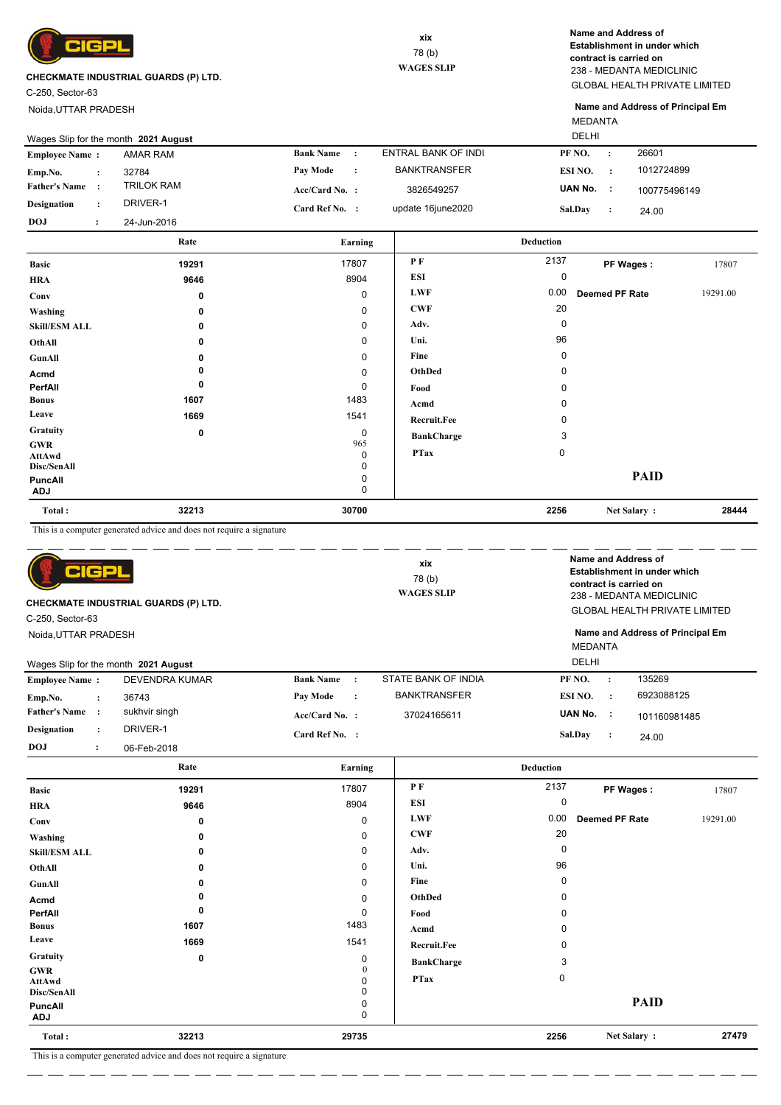

C-250, Sector-63

Noida,UTTAR PRADESH

GLOBAL HEALTH PRIVATE LIMITED 238 - MEDANTA MEDICLINIC **Name and Address of Establishment in under which contract is carried on**

MEDANTA **Name and Address of Principal Em**

|                       |                                   | Rate                                 | Earning                    |                     | <b>Deduction</b>     |              |
|-----------------------|-----------------------------------|--------------------------------------|----------------------------|---------------------|----------------------|--------------|
| DOJ                   | $\bullet$<br>$\ddot{\phantom{1}}$ | 24-Jun-2016                          |                            |                     |                      |              |
| <b>Designation</b>    | $\cdot$                           | DRIVER-1                             | Card Ref No. :             | update 16june2020   | Sal.Day              | 24.00        |
| <b>Father's Name:</b> |                                   | <b>TRILOK RAM</b>                    | $Acc/Card No.$ :           | 3826549257          | UAN No. :            | 100775496149 |
| Emp.No.               |                                   | 32784                                | <b>Pay Mode</b><br>$\cdot$ | <b>BANKTRANSFER</b> | ESI NO.<br>$\cdot$ . | 1012724899   |
| <b>Employee Name:</b> |                                   | AMAR RAM                             | <b>Bank Name</b>           | ENTRAL BANK OF INDI | PF NO.               | 26601        |
|                       |                                   | Wages Slip for the month 2021 August |                            |                     | <b>DELHI</b>         |              |

| <b>Basic</b>                               | 19291 | 17807         | PF                 | 2137        | PF Wages:             | 17807    |
|--------------------------------------------|-------|---------------|--------------------|-------------|-----------------------|----------|
| <b>HRA</b>                                 | 9646  | 8904          | ESI                | 0           |                       |          |
| Conv                                       | 0     | 0             | <b>LWF</b>         | 0.00        | <b>Deemed PF Rate</b> | 19291.00 |
| Washing                                    | 0     | 0             | <b>CWF</b>         | 20          |                       |          |
| <b>Skill/ESM ALL</b>                       | 0     | 0             | Adv.               | 0           |                       |          |
| OthAll                                     | 0     | 0             | Uni.               | 96          |                       |          |
| GunAll                                     | 0     | 0             | Fine               | 0           |                       |          |
| Acmd                                       |       | 0             | OthDed             | 0           |                       |          |
| PerfAll                                    | 0     | 0             | Food               | 0           |                       |          |
| <b>Bonus</b>                               | 1607  | 1483          | Acmd               | 0           |                       |          |
| Leave                                      | 1669  | 1541          | <b>Recruit.Fee</b> | 0           |                       |          |
| Gratuity                                   | 0     | 0             | <b>BankCharge</b>  | 3           |                       |          |
| <b>GWR</b><br><b>AttAwd</b><br>Disc/SenAll |       | 965<br>0<br>0 | <b>PTax</b>        | $\mathbf 0$ |                       |          |
| PuncAll<br><b>ADJ</b>                      |       | 0<br>0        |                    |             | <b>PAID</b>           |          |
| Total:                                     | 32213 | 30700         |                    | 2256        | Net Salary:           | 28444    |

This is a computer generated advice and does not require a signature

| CHECKMATE INDUSTRIAL GUARDS (P) LTD.<br>C-250, Sector-63<br>Noida, UTTAR PRADESH |                       |                               | xix<br>78(b)<br><b>WAGES SLIP</b> | MEDANTA              | Name and Address of<br>Establishment in under which<br>contract is carried on<br>238 - MEDANTA MEDICLINIC<br><b>GLOBAL HEALTH PRIVATE LIMITED</b><br>Name and Address of Principal Em |  |  |
|----------------------------------------------------------------------------------|-----------------------|-------------------------------|-----------------------------------|----------------------|---------------------------------------------------------------------------------------------------------------------------------------------------------------------------------------|--|--|
| Wages Slip for the month 2021 August                                             |                       |                               |                                   | DELHI                |                                                                                                                                                                                       |  |  |
| <b>Employee Name:</b>                                                            | <b>DEVENDRA KUMAR</b> | <b>Bank Name</b><br>$\cdot$ : | STATE BANK OF INDIA               | PF NO.<br>$\cdot$    | 135269                                                                                                                                                                                |  |  |
| Emp.No.<br>$\ddot{\phantom{a}}$                                                  | 36743                 | Pay Mode<br>$\ddot{\cdot}$    | <b>BANKTRANSFER</b>               | ESI NO.<br>$\cdot$ : | 6923088125                                                                                                                                                                            |  |  |
| <b>Father's Name</b><br>$\cdot$                                                  | sukhvir singh         | $Acc/Card No.$ :              | 37024165611                       | UAN No.<br>- 1       | 101160981485                                                                                                                                                                          |  |  |
| <b>Designation</b><br>$\ddot{\phantom{a}}$                                       | DRIVER-1              | Card Ref No. :                |                                   | Sal.Day<br>:         | 24.00                                                                                                                                                                                 |  |  |
| <b>DOJ</b><br>$\ddot{\phantom{a}}$                                               | 06-Feb-2018           |                               |                                   |                      |                                                                                                                                                                                       |  |  |

|                                            | Rate               | Earning                |                   | <b>Deduction</b> |                |          |
|--------------------------------------------|--------------------|------------------------|-------------------|------------------|----------------|----------|
| <b>Basic</b>                               | 19291              | 17807                  | P F               | 2137             | PF Wages:      | 17807    |
| <b>HRA</b>                                 | 9646               | 8904                   | <b>ESI</b>        | 0                |                |          |
| Conv                                       | 0                  | 0                      | <b>LWF</b>        | 0.00             | Deemed PF Rate | 19291.00 |
| Washing                                    | 0                  | 0                      | <b>CWF</b>        | 20               |                |          |
| <b>Skill/ESM ALL</b>                       | 0                  | 0                      | Adv.              | 0                |                |          |
| OthAll                                     | 0                  | 0                      | Uni.              | 96               |                |          |
| GunAll                                     | 0                  | 0                      | Fine              | 0                |                |          |
| Acmd                                       |                    | 0                      | OthDed            | 0                |                |          |
| PerfAll                                    | 0                  | 0                      | Food              | 0                |                |          |
| <b>Bonus</b>                               | 1607               | 1483                   | Acmd              | 0                |                |          |
| Leave                                      | 1669               | 1541                   | Recruit.Fee       | 0                |                |          |
| Gratuity                                   | 0                  | 0                      | <b>BankCharge</b> | 3                |                |          |
| <b>GWR</b><br><b>AttAwd</b><br>Disc/SenAll |                    | $\mathbf{0}$<br>0<br>0 | <b>PTax</b>       | $\mathbf 0$      |                |          |
| <b>PuncAll</b><br><b>ADJ</b>               |                    | 0<br>0                 |                   |                  | <b>PAID</b>    |          |
| Total:                                     | 32213              | 29735                  |                   | 2256             | Net Salary:    | 27479    |
|                                            | .<br>$\sim$ $\sim$ |                        |                   |                  |                |          |

This is a computer generated advice and does not require a signature \_ \_\_ \_\_ \_\_ \_\_ \_\_

 $=$   $-$ <u>.</u>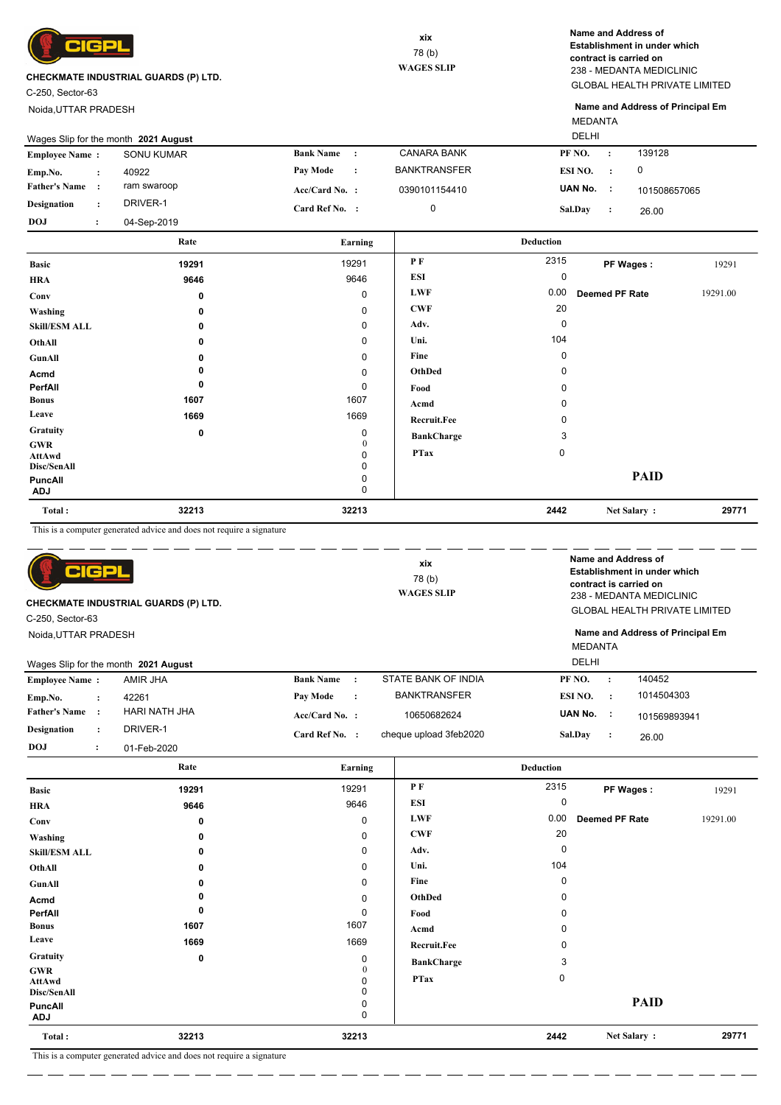

C-250, Sector-63

Noida,UTTAR PRADESH

GLOBAL HEALTH PRIVATE LIMITED 238 - MEDANTA MEDICLINIC **Name and Address of Establishment in under which contract is carried on**

MEDANTA **Name and Address of Principal Em**

|                       | Wages Slip for the month 2021 August |             |                  |           |                     |         | <b>DELHI</b> |              |  |
|-----------------------|--------------------------------------|-------------|------------------|-----------|---------------------|---------|--------------|--------------|--|
| <b>Employee Name:</b> |                                      | SONU KUMAR  | <b>Bank Name</b> | $\sim$ 1  | <b>CANARA BANK</b>  | PF NO.  |              | 139128       |  |
| Emp.No.               |                                      | 40922       | <b>Pay Mode</b>  | $\cdot$ : | <b>BANKTRANSFER</b> | ESI NO. |              |              |  |
| <b>Father's Name</b>  |                                      | ram swaroop | $Acc/Card No.$ : |           | 0390101154410       | UAN No. | - 11         | 101508657065 |  |
| <b>Designation</b>    |                                      | DRIVER-1    | Card Ref No. :   |           |                     | Sal.Day |              | 26.00        |  |
| <b>DOJ</b>            |                                      | 04-Sep-2019 |                  |           |                     |         |              |              |  |

|                       | Rate        | Earning           |                   | <b>Deduction</b> |                |          |
|-----------------------|-------------|-------------------|-------------------|------------------|----------------|----------|
| <b>Basic</b>          | 19291       | 19291             | PF                | 2315             | PF Wages:      | 19291    |
| <b>HRA</b>            | 9646        | 9646              | <b>ESI</b>        | 0                |                |          |
| Conv                  | 0           | $\mathbf 0$       | <b>LWF</b>        | 0.00             | Deemed PF Rate | 19291.00 |
| Washing               | 0           | 0                 | <b>CWF</b>        | 20               |                |          |
| <b>Skill/ESM ALL</b>  | 0           | 0                 | Adv.              | 0                |                |          |
| OthAll                | 0           | 0                 | Uni.              | 104              |                |          |
| GunAll                | 0           | 0                 | Fine              | 0                |                |          |
| Acmd                  |             | 0                 | OthDed            | 0                |                |          |
| PerfAll               | 0           | 0                 | Food              | 0                |                |          |
| <b>Bonus</b>          | 1607        | 1607              | Acmd              | 0                |                |          |
| Leave                 | 1669        | 1669              | Recruit.Fee       | 0                |                |          |
| Gratuity              | $\mathbf 0$ | 0                 | <b>BankCharge</b> | 3                |                |          |
| <b>GWR</b><br>AttAwd  |             | $\mathbf{0}$<br>0 | <b>PTax</b>       | 0                |                |          |
| Disc/SenAll           |             | 0                 |                   |                  |                |          |
| PuncAll<br><b>ADJ</b> |             | 0<br>0            |                   |                  | <b>PAID</b>    |          |
| Total:                | 32213       | 32213             |                   | 2442             | Net Salary:    | 29771    |

This is a computer generated advice and does not require a signature

| 어 더보<br>CHECKMATE INDUSTRIAL GUARDS (P) LTD.<br>C-250, Sector-63 |                      |                                      |                  | xix<br>78(b)<br><b>WAGES SLIP</b> | Name and Address of<br>Establishment in under which<br>contract is carried on<br>238 - MEDANTA MEDICLINIC<br><b>GLOBAL HEALTH PRIVATE LIMITED</b> |                |                      |                                  |
|------------------------------------------------------------------|----------------------|--------------------------------------|------------------|-----------------------------------|---------------------------------------------------------------------------------------------------------------------------------------------------|----------------|----------------------|----------------------------------|
| Noida, UTTAR PRADESH                                             |                      |                                      |                  |                                   |                                                                                                                                                   |                |                      | Name and Address of Principal Em |
|                                                                  |                      |                                      |                  |                                   |                                                                                                                                                   | <b>MEDANTA</b> |                      |                                  |
|                                                                  |                      | Wages Slip for the month 2021 August |                  |                                   |                                                                                                                                                   | DELHI          |                      |                                  |
| <b>Employee Name:</b>                                            |                      | AMIR JHA                             | <b>Bank Name</b> | $\cdot$ :                         | STATE BANK OF INDIA                                                                                                                               | PF NO.         | $\cdot$              | 140452                           |
| Emp.No.                                                          | $\ddot{\phantom{a}}$ | 42261                                | <b>Pay Mode</b>  | $\cdot$                           | <b>BANKTRANSFER</b>                                                                                                                               | ESI NO.        | $\cdot$ :            | 1014504303                       |
| <b>Father's Name</b>                                             |                      | HARI NATH JHA                        | Acc/Card No. :   |                                   | 10650682624                                                                                                                                       | UAN No.        | - 1                  | 101569893941                     |
| <b>Designation</b>                                               | $\ddot{\phantom{a}}$ | DRIVER-1                             | Card Ref No. :   |                                   | cheque upload 3feb2020                                                                                                                            | Sal.Day        | $\ddot{\phantom{1}}$ | 26.00                            |
| <b>DOJ</b>                                                       | $\ddot{\phantom{0}}$ | 01-Feb-2020                          |                  |                                   |                                                                                                                                                   |                |                      |                                  |

|                                     | Rate                                                                                                        | Earning     |                    | <b>Deduction</b> |                       |          |
|-------------------------------------|-------------------------------------------------------------------------------------------------------------|-------------|--------------------|------------------|-----------------------|----------|
| <b>Basic</b>                        | 19291                                                                                                       | 19291       | P F                | 2315             | PF Wages:             | 19291    |
| <b>HRA</b>                          | 9646                                                                                                        | 9646        | ESI                | 0                |                       |          |
| Conv                                | 0                                                                                                           | $\mathbf 0$ | <b>LWF</b>         | 0.00             | <b>Deemed PF Rate</b> | 19291.00 |
| Washing                             | 0                                                                                                           | 0           | <b>CWF</b>         | 20               |                       |          |
| <b>Skill/ESM ALL</b>                | 0                                                                                                           | 0           | Adv.               | $\Omega$         |                       |          |
| OthAll                              | 0                                                                                                           | 0           | Uni.               | 104              |                       |          |
| GunAll                              | 0                                                                                                           | 0           | Fine               | $\Omega$         |                       |          |
| Acmd                                |                                                                                                             | 0           | OthDed             | <sup>0</sup>     |                       |          |
| PerfAll                             | 0                                                                                                           | $\mathbf 0$ | Food               | O                |                       |          |
| <b>Bonus</b>                        | 1607                                                                                                        | 1607        | Acmd               |                  |                       |          |
| Leave                               | 1669                                                                                                        | 1669        | <b>Recruit.Fee</b> |                  |                       |          |
| Gratuity                            | $\mathbf 0$                                                                                                 | 0           | <b>BankCharge</b>  | 3                |                       |          |
| <b>GWR</b><br>AttAwd<br>Disc/SenAll |                                                                                                             | 0           | <b>PTax</b>        | 0                |                       |          |
| PuncAll<br><b>ADJ</b>               |                                                                                                             | 0<br>0      |                    |                  | <b>PAID</b>           |          |
| Total:                              | 32213                                                                                                       | 32213       |                    | 2442             | Net Salary:           | 29771    |
| $m \rightarrow m$                   | $-1 - 1 - 1 - 1$<br>$\sim$<br>the contract of the con-<br>$\mathbf{1}$<br><b>Contract Contract Contract</b> |             |                    |                  |                       |          |

This is a computer generated advice and does not require a signature . <u>. . . . . . . . . . .</u> . . . .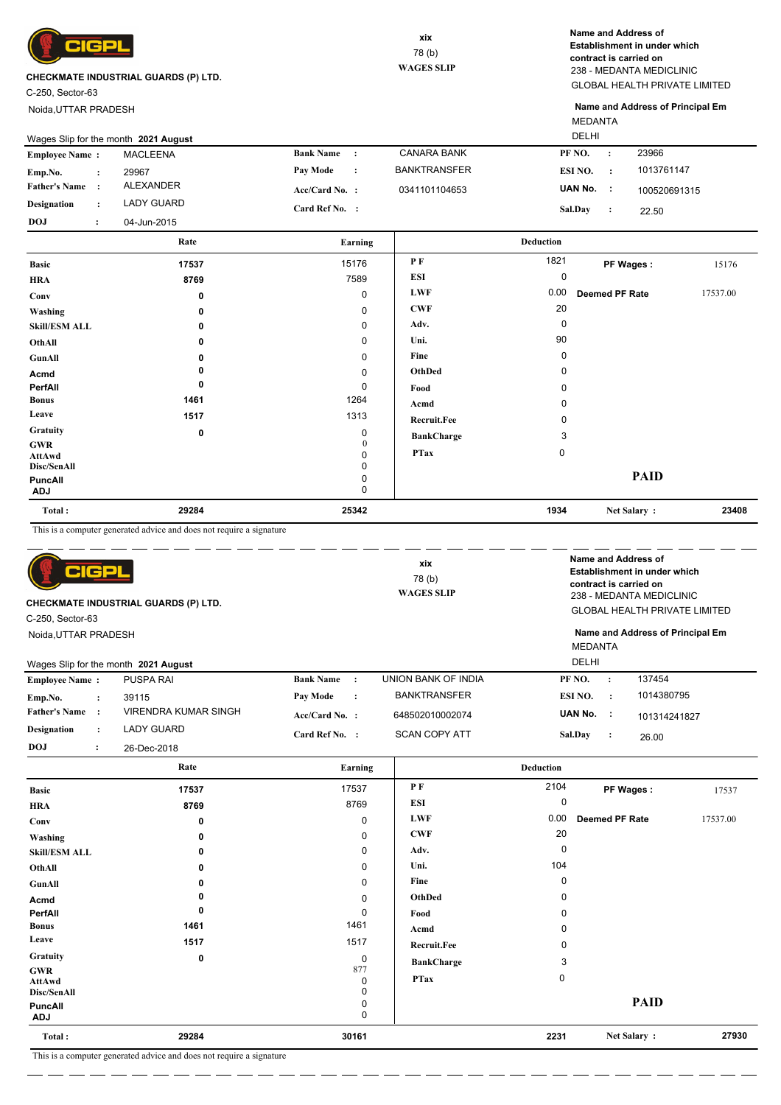

C-250, Sector-63

Noida,UTTAR PRADESH

GLOBAL HEALTH PRIVATE LIMITED 238 - MEDANTA MEDICLINIC **Name and Address of Establishment in under which contract is carried on**

MEDANTA **Name and Address of Principal Em**

|                       | Wages Slip for the month 2021 August |             |                  |           |                     |           | <b>DELHI</b> |              |  |
|-----------------------|--------------------------------------|-------------|------------------|-----------|---------------------|-----------|--------------|--------------|--|
| <b>Employee Name:</b> |                                      | MACLEENA    | <b>Bank Name</b> |           | <b>CANARA BANK</b>  | PF NO.    |              | 23966        |  |
| Emp.No.               |                                      | 29967       | Pav Mode         | $\cdot$ : | <b>BANKTRANSFER</b> | ESI NO.   | $\cdot$ :    | 1013761147   |  |
| <b>Father's Name</b>  |                                      | ALEXANDER   | $Acc/Card No.$ : |           | 0341101104653       | UAN No. : |              | 100520691315 |  |
| <b>Designation</b>    |                                      | LADY GUARD  | Card Ref No. :   |           |                     | Sal.Day   |              | 22.50        |  |
| <b>DOJ</b>            |                                      | 04-Jun-2015 |                  |           |                     |           |              |              |  |

|                                     | Rate  | Earning                |                   | <b>Deduction</b> |                       |          |
|-------------------------------------|-------|------------------------|-------------------|------------------|-----------------------|----------|
| <b>Basic</b>                        | 17537 | 15176                  | PF                | 1821             | PF Wages:             | 15176    |
| <b>HRA</b>                          | 8769  | 7589                   | <b>ESI</b>        | 0                |                       |          |
| Conv                                | 0     | 0                      | <b>LWF</b>        | 0.00             | <b>Deemed PF Rate</b> | 17537.00 |
| Washing                             | 0     | $\mathbf 0$            | <b>CWF</b>        | 20               |                       |          |
| <b>Skill/ESM ALL</b>                | 0     | 0                      | Adv.              | 0                |                       |          |
| OthAll                              | 0     | 0                      | Uni.              | 90               |                       |          |
| GunAll                              | n     | $\mathbf 0$            | Fine              | 0                |                       |          |
| Acmd                                |       | $\mathbf 0$            | OthDed            | 0                |                       |          |
| PerfAll                             | 0     | $\mathbf 0$            | Food              | 0                |                       |          |
| <b>Bonus</b>                        | 1461  | 1264                   | Acmd              | 0                |                       |          |
| Leave                               | 1517  | 1313                   | Recruit.Fee       | 0                |                       |          |
| <b>Gratuity</b>                     | 0     | 0                      | <b>BankCharge</b> | 3                |                       |          |
| <b>GWR</b><br>AttAwd<br>Disc/SenAll |       | $\mathbf{0}$<br>0<br>0 | <b>PTax</b>       | 0                |                       |          |
| PuncAll<br><b>ADJ</b>               |       | 0<br>0                 |                   |                  | <b>PAID</b>           |          |
| Total:                              | 29284 | 25342                  |                   | 1934             | Net Salary:           | 23408    |

This is a computer generated advice and does not require a signature

| BIGP<br>CHECKMATE INDUSTRIAL GUARDS (P) LTD.<br>C-250, Sector-63<br>Noida, UTTAR PRADESH |                      |                                      | xix<br>78(b)<br><b>WAGES SLIP</b> |                |                      | Name and Address of<br>Establishment in under which<br>contract is carried on<br>238 - MEDANTA MEDICLINIC<br><b>GLOBAL HEALTH PRIVATE LIMITED</b><br>Name and Address of Principal Em<br><b>MEDANTA</b> |                |                |              |
|------------------------------------------------------------------------------------------|----------------------|--------------------------------------|-----------------------------------|----------------|----------------------|---------------------------------------------------------------------------------------------------------------------------------------------------------------------------------------------------------|----------------|----------------|--------------|
|                                                                                          |                      | Wages Slip for the month 2021 August |                                   |                |                      |                                                                                                                                                                                                         | <b>DELHI</b>   |                |              |
| <b>Employee Name:</b>                                                                    |                      | <b>PUSPA RAI</b>                     | <b>Bank Name</b>                  | $\cdot$ :      | UNION BANK OF INDIA  |                                                                                                                                                                                                         | PF NO.         | $\cdot$        | 137454       |
| Emp.No.                                                                                  | $\ddot{\cdot}$       | 39115                                | Pay Mode                          | $\ddot{\cdot}$ | <b>BANKTRANSFER</b>  |                                                                                                                                                                                                         | ESI NO.        | $\cdot$        | 1014380795   |
| <b>Father's Name</b>                                                                     | $\cdot$ :            | VIRENDRA KUMAR SINGH                 | Acc/Card No. :                    |                | 648502010002074      |                                                                                                                                                                                                         | UAN No. :      |                | 101314241827 |
| <b>Designation</b>                                                                       | $\ddot{\phantom{a}}$ | LADY GUARD                           | Card Ref No. :                    |                | <b>SCAN COPY ATT</b> |                                                                                                                                                                                                         | <b>Sal.Dav</b> | $\ddot{\cdot}$ | 26.00        |
| <b>DOJ</b>                                                                               | $\ddot{\cdot}$       | 26-Dec-2018                          |                                   |                |                      |                                                                                                                                                                                                         |                |                |              |
|                                                                                          |                      |                                      |                                   |                |                      |                                                                                                                                                                                                         |                |                |              |

|                              | Rate  | Earning     |                    | <b>Deduction</b> |                       |          |
|------------------------------|-------|-------------|--------------------|------------------|-----------------------|----------|
| <b>Basic</b>                 | 17537 | 17537       | P F                | 2104             | PF Wages:             | 17537    |
| <b>HRA</b>                   | 8769  | 8769        | ESI                | 0                |                       |          |
| Conv                         | 0     | 0           | <b>LWF</b>         | 0.00             | <b>Deemed PF Rate</b> | 17537.00 |
| Washing                      | 0     | 0           | <b>CWF</b>         | 20               |                       |          |
| <b>Skill/ESM ALL</b>         | 0     | $\mathbf 0$ | Adv.               | 0                |                       |          |
| OthAll                       | 0     | $\mathbf 0$ | Uni.               | 104              |                       |          |
| GunAll                       | 0     | 0           | Fine               | $\Omega$         |                       |          |
| Acmd                         |       | $\pmb{0}$   | OthDed             | 0                |                       |          |
| PerfAll                      | 0     | 0           | Food               | 0                |                       |          |
| <b>Bonus</b>                 | 1461  | 1461        | Acmd               | 0                |                       |          |
| Leave                        | 1517  | 1517        | <b>Recruit.Fee</b> | 0                |                       |          |
| Gratuity                     | 0     | 0           | <b>BankCharge</b>  | 3                |                       |          |
| <b>GWR</b>                   |       | 877<br>0    | <b>PTax</b>        | $\mathbf 0$      |                       |          |
| <b>AttAwd</b><br>Disc/SenAll |       | $\mathbf 0$ |                    |                  |                       |          |
| PuncAll<br><b>ADJ</b>        |       | 0<br>0      |                    |                  | <b>PAID</b>           |          |
| Total:                       | 29284 | 30161       |                    | 2231             | Net Salary:           | 27930    |

This is a computer generated advice and does not require a signature

. <u>. . . . . . . . . .</u> . . . .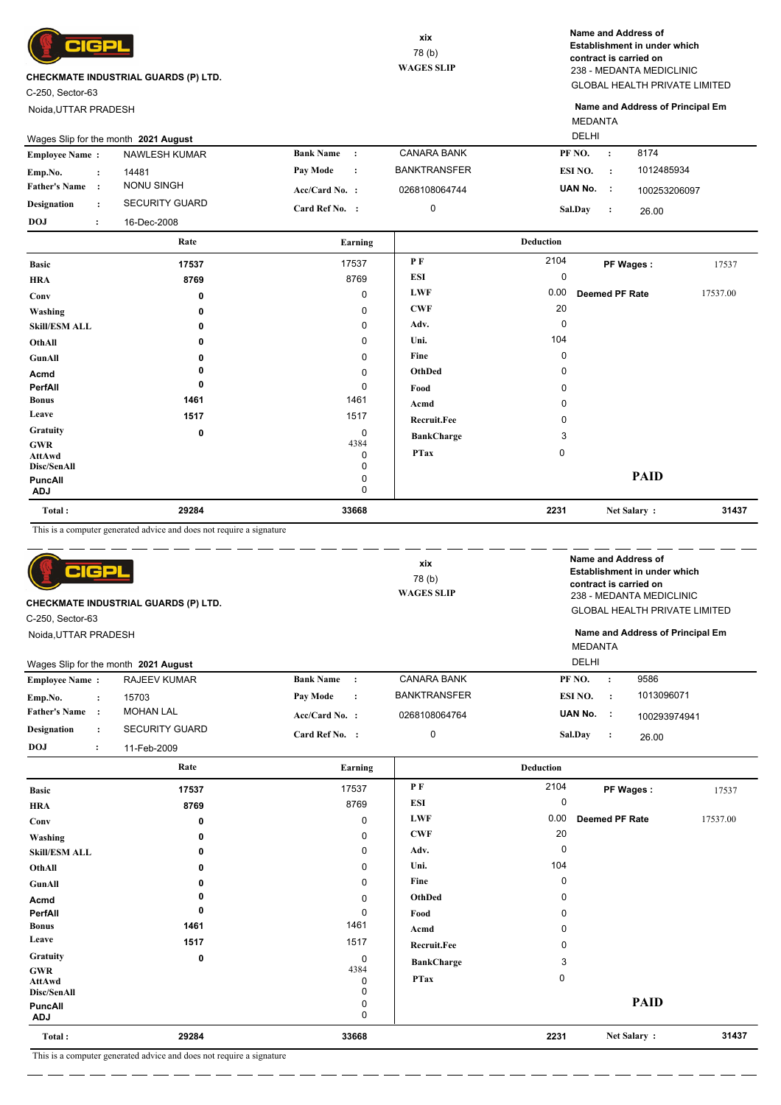

C-250, Sector-63

Noida,UTTAR PRADESH

GLOBAL HEALTH PRIVATE LIMITED 238 - MEDANTA MEDICLINIC **Name and Address of Establishment in under which contract is carried on**

MEDANTA **Name and Address of Principal Em**

|                       | Wages Slip for the month 2021 August |                  |                |                     | DELHI   |           |              |
|-----------------------|--------------------------------------|------------------|----------------|---------------------|---------|-----------|--------------|
| <b>Employee Name:</b> | NAWLESH KUMAR                        | <b>Bank Name</b> |                | <b>CANARA BANK</b>  | PF NO.  | $\cdot$   | 8174         |
| Emp.No.               | 14481                                | Pav Mode         | $\ddot{\cdot}$ | <b>BANKTRANSFER</b> | ESI NO. | $\cdot$ : | 1012485934   |
| <b>Father's Name</b>  | NONU SINGH                           | $Acc/Card No.$ : |                | 0268108064744       | UAN No. | - 11      | 100253206097 |
| Designation           | <b>SECURITY GUARD</b>                | Card Ref No. :   |                |                     | Sal.Day |           | 26.00        |
| <b>DOJ</b>            | 16-Dec-2008                          |                  |                |                     |         |           |              |

|                              | Rate  | Earning     |                   | <b>Deduction</b> |                |          |
|------------------------------|-------|-------------|-------------------|------------------|----------------|----------|
| <b>Basic</b>                 | 17537 | 17537       | PF                | 2104             | PF Wages:      | 17537    |
| <b>HRA</b>                   | 8769  | 8769        | ESI               | 0                |                |          |
| Conv                         | 0     | $\mathbf 0$ | <b>LWF</b>        | 0.00             | Deemed PF Rate | 17537.00 |
| Washing                      | 0     | 0           | <b>CWF</b>        | 20               |                |          |
| <b>Skill/ESM ALL</b>         | 0     | 0           | Adv.              | 0                |                |          |
| OthAll                       | 0     | 0           | Uni.              | 104              |                |          |
| GunAll                       | 0     | 0           | Fine              | 0                |                |          |
| Acmd                         |       | 0           | OthDed            | 0                |                |          |
| PerfAll                      | 0     | 0           | Food              | 0                |                |          |
| <b>Bonus</b>                 | 1461  | 1461        | Acmd              | 0                |                |          |
| Leave                        | 1517  | 1517        | Recruit.Fee       | 0                |                |          |
| Gratuity                     | 0     | 0           | <b>BankCharge</b> | 3                |                |          |
| <b>GWR</b><br>AttAwd         |       | 4384<br>0   | <b>PTax</b>       | $\mathbf 0$      |                |          |
| Disc/SenAll                  |       | 0           |                   |                  |                |          |
| <b>PuncAll</b><br><b>ADJ</b> |       | 0<br>0      |                   |                  | <b>PAID</b>    |          |
| Total:                       | 29284 | 33668       |                   | 2231             | Net Salary:    | 31437    |

This is a computer generated advice and does not require a signature

| CIGPI<br>C-250, Sector-63 |                      | CHECKMATE INDUSTRIAL GUARDS (P) LTD. |                             | xix<br>78(b)<br><b>WAGES SLIP</b> |                         |                      | Name and Address of<br>Establishment in under which<br>contract is carried on<br>238 - MEDANTA MEDICLINIC<br><b>GLOBAL HEALTH PRIVATE LIMITED</b><br>Name and Address of Principal Em |       |
|---------------------------|----------------------|--------------------------------------|-----------------------------|-----------------------------------|-------------------------|----------------------|---------------------------------------------------------------------------------------------------------------------------------------------------------------------------------------|-------|
| Noida, UTTAR PRADESH      |                      | Wages Slip for the month 2021 August |                             |                                   | <b>MEDANTA</b><br>DELHI |                      |                                                                                                                                                                                       |       |
| <b>Employee Name:</b>     |                      | <b>RAJEEV KUMAR</b>                  | <b>Bank Name</b><br>$\cdot$ | <b>CANARA BANK</b>                | PF NO.                  | $\ddot{\phantom{a}}$ | 9586                                                                                                                                                                                  |       |
| Emp.No.                   | $\ddot{\phantom{a}}$ | 15703                                | Pay Mode<br>$\cdot$         | <b>BANKTRANSFER</b>               | ESI NO.                 | $\ddot{\cdot}$       | 1013096071                                                                                                                                                                            |       |
| <b>Father's Name</b>      | $\cdot$              | <b>MOHAN LAL</b>                     | Acc/Card No. :              | 0268108064764                     | UAN No.                 | - 1                  | 100293974941                                                                                                                                                                          |       |
| <b>Designation</b>        |                      | <b>SECURITY GUARD</b>                | Card Ref No. :              | 0                                 | Sal.Day                 | $\ddot{\cdot}$       | 26.00                                                                                                                                                                                 |       |
| <b>DOJ</b>                | $\ddot{\cdot}$       | 11-Feb-2009                          |                             |                                   |                         |                      |                                                                                                                                                                                       |       |
|                           |                      | Rate                                 | Earning                     |                                   | <b>Deduction</b>        |                      |                                                                                                                                                                                       |       |
| <b>Basic</b>              |                      | 17537                                | 17537                       | PF                                | 2104                    |                      | PF Wages:                                                                                                                                                                             | 17537 |
| <b>TIDA</b>               |                      | 0700                                 | 8769                        | ESI                               | 0                       |                      |                                                                                                                                                                                       |       |

| Total:                       | 29284 | 33668       |                    | 2231         | Net Salary:           | 31437    |
|------------------------------|-------|-------------|--------------------|--------------|-----------------------|----------|
| <b>PuncAll</b><br><b>ADJ</b> |       | 0           |                    |              |                       |          |
|                              |       | 0           |                    |              | <b>PAID</b>           |          |
| Disc/SenAll                  |       | 0           |                    |              |                       |          |
| AttAwd                       |       | 0           | <b>PTax</b>        | 0            |                       |          |
| GWR                          |       | 4384        | <b>BankCharge</b>  | 3            |                       |          |
| Gratuity                     | 0     | $\mathbf 0$ | <b>Recruit.Fee</b> | 0            |                       |          |
| Leave                        | 1517  | 1517        |                    |              |                       |          |
| <b>Bonus</b>                 | 1461  | 1461        | Acmd               |              |                       |          |
| PerfAll                      |       | 0           | Food               |              |                       |          |
| Acmd                         |       | $\mathbf 0$ | OthDed             |              |                       |          |
| GunAll                       |       | 0           | Fine               | <sup>0</sup> |                       |          |
| OthAll                       | 0     | 0           | Uni.               | 104          |                       |          |
| <b>Skill/ESM ALL</b>         |       | 0           | Adv.               | 0            |                       |          |
| Washing                      |       | $\mathbf 0$ | <b>CWF</b>         | 20           |                       |          |
| Conv                         | 0     | 0           | <b>LWF</b>         | 0.00         | <b>Deemed PF Rate</b> | 17537.00 |
| <b>HRA</b>                   | 8769  | 8769        | ESI                | $\Omega$     |                       |          |
|                              |       |             |                    |              | .                     | . 1.001  |

This is a computer generated advice and does not require a signature

— — —

\_ \_\_ \_\_ \_\_ \_\_ \_\_ \_\_ \_\_ \_\_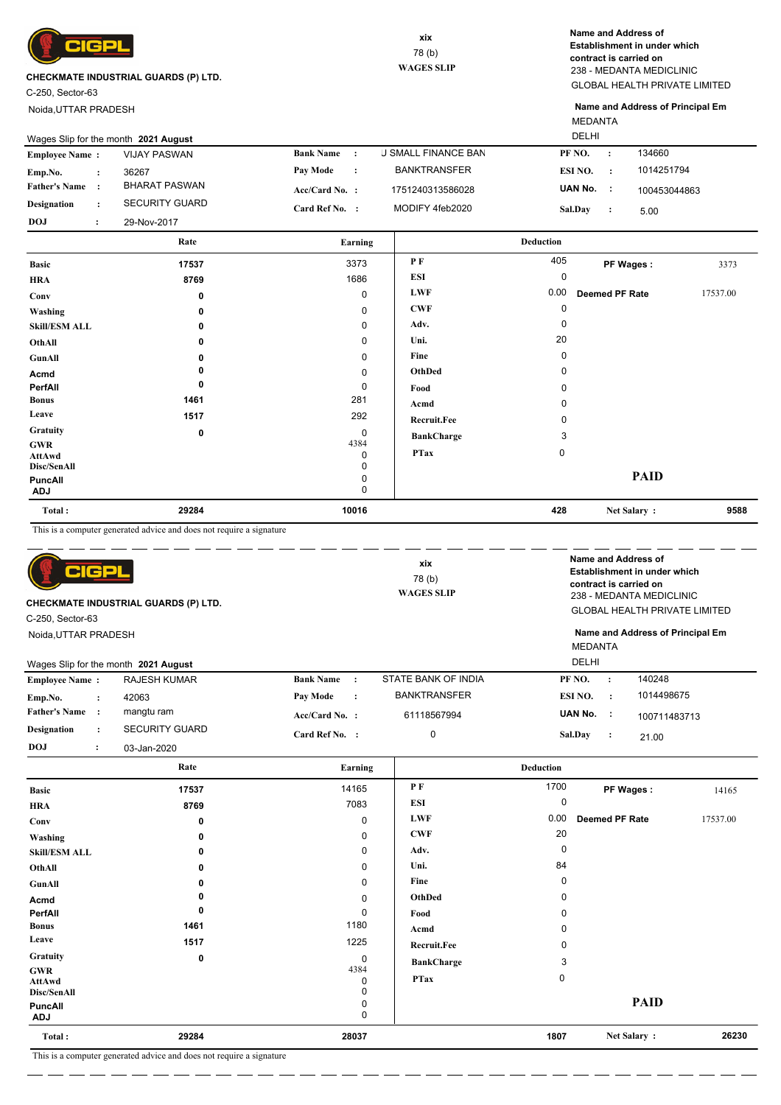

C-250, Sector-63

Noida,UTTAR PRADESH

GLOBAL HEALTH PRIVATE LIMITED 238 - MEDANTA MEDICLINIC **Name and Address of Establishment in under which contract is carried on**

MEDANTA **Name and Address of Principal Em**

|                       | Wages Slip for the month 2021 August |                       |           |                            | <b>DELHI</b> |         |              |
|-----------------------|--------------------------------------|-----------------------|-----------|----------------------------|--------------|---------|--------------|
| <b>Employee Name:</b> | <b>VIJAY PASWAN</b>                  | <b>Bank Name</b>      |           | <b>J SMALL FINANCE BAN</b> | PF NO.       | $\cdot$ | 134660       |
| Emp.No.               | 36267                                | Pay Mode              | $\cdot$ : | <b>BANKTRANSFER</b>        | ESI NO.      |         | 1014251794   |
| <b>Father's Name:</b> | BHARAT PASWAN                        | $Acc/Card No.$ :      |           | 1751240313586028           | UAN No.      |         | 100453044863 |
| <b>Designation</b>    | <b>SECURITY GUARD</b>                | <b>Card Ref No. :</b> |           | MODIFY 4feb2020            | Sal.Day      |         | 5.00         |
| <b>DOJ</b>            | 29-Nov-2017                          |                       |           |                            |              |         |              |

|                                     | Rate  | Earning        |                    | <b>Deduction</b> |                |          |
|-------------------------------------|-------|----------------|--------------------|------------------|----------------|----------|
| <b>Basic</b>                        | 17537 | 3373           | P F                | 405              | PF Wages:      | 3373     |
| <b>HRA</b>                          | 8769  | 1686           | <b>ESI</b>         | 0                |                |          |
| Conv                                | 0     | $\mathbf 0$    | <b>LWF</b>         | 0.00             | Deemed PF Rate | 17537.00 |
| Washing                             | 0     | 0              | <b>CWF</b>         | 0                |                |          |
| <b>Skill/ESM ALL</b>                | 0     | $\mathbf 0$    | Adv.               | 0                |                |          |
| OthAll                              | 0     | 0              | Uni.               | 20               |                |          |
| GunAll                              | n     | 0              | Fine               | 0                |                |          |
| Acmd                                |       | $\mathbf 0$    | OthDed             | 0                |                |          |
| PerfAll                             | 0     | $\mathbf 0$    | Food               | 0                |                |          |
| <b>Bonus</b>                        | 1461  | 281            | Acmd               | 0                |                |          |
| Leave                               | 1517  | 292            | <b>Recruit.Fee</b> | 0                |                |          |
| Gratuity                            | 0     | 0              | <b>BankCharge</b>  | 3                |                |          |
| <b>GWR</b><br>AttAwd<br>Disc/SenAll |       | 4384<br>0<br>0 | <b>PTax</b>        | 0                |                |          |
| PuncAll<br><b>ADJ</b>               |       | 0<br>0         |                    |                  | <b>PAID</b>    |          |
| Total:                              | 29284 | 10016          |                    | 428              | Net Salary:    | 9588     |

This is a computer generated advice and does not require a signature

|                                      | This is a comparer generated advice and does not require a signature |                               |                                    |                    |                                                                                                           |          |
|--------------------------------------|----------------------------------------------------------------------|-------------------------------|------------------------------------|--------------------|-----------------------------------------------------------------------------------------------------------|----------|
| CIGPL                                |                                                                      |                               | xix<br>78 (b)<br><b>WAGES SLIP</b> |                    | Name and Address of<br>Establishment in under which<br>contract is carried on<br>238 - MEDANTA MEDICLINIC |          |
|                                      | CHECKMATE INDUSTRIAL GUARDS (P) LTD.                                 |                               |                                    |                    | <b>GLOBAL HEALTH PRIVATE LIMITED</b>                                                                      |          |
| C-250, Sector-63                     |                                                                      |                               |                                    |                    |                                                                                                           |          |
| Noida, UTTAR PRADESH                 |                                                                      |                               |                                    |                    | Name and Address of Principal Em<br><b>MEDANTA</b>                                                        |          |
|                                      | Wages Slip for the month 2021 August                                 |                               |                                    | <b>DELHI</b>       |                                                                                                           |          |
| <b>Employee Name:</b>                | <b>RAJESH KUMAR</b>                                                  | <b>Bank Name</b><br>$\cdot$ : | STATE BANK OF INDIA                | PF <sub>NO</sub> . | 140248<br>$\ddot{\cdot}$                                                                                  |          |
| Emp.No.<br>$\ddot{\cdot}$            | 42063                                                                | Pay Mode<br>$\cdot$           | <b>BANKTRANSFER</b>                | ESI NO.            | 1014498675<br>$\cdot$ :                                                                                   |          |
| <b>Father's Name</b><br>$\cdot$ :    | mangtu ram                                                           | Acc/Card No. :                | 61118567994                        | UAN No.            | - 11<br>100711483713                                                                                      |          |
| <b>Designation</b><br>$\ddot{\cdot}$ | <b>SECURITY GUARD</b>                                                | Card Ref No. :                | $\mathbf 0$                        | Sal.Day            | $\ddot{\cdot}$<br>21.00                                                                                   |          |
| <b>DOJ</b><br>$\ddot{\cdot}$         | 03-Jan-2020                                                          |                               |                                    |                    |                                                                                                           |          |
|                                      | Rate                                                                 | Earning                       |                                    | <b>Deduction</b>   |                                                                                                           |          |
| <b>Basic</b>                         | 17537                                                                | 14165                         | P F                                | 1700               | PF Wages:                                                                                                 | 14165    |
| <b>HRA</b>                           | 8769                                                                 | 7083                          | <b>ESI</b>                         | $\mathbf 0$        |                                                                                                           |          |
| Conv                                 | 0                                                                    | $\mathbf 0$                   | <b>LWF</b>                         | 0.00               | <b>Deemed PF Rate</b>                                                                                     | 17537.00 |
| Washing                              | ŋ                                                                    | 0                             | CWF                                | 20                 |                                                                                                           |          |
| <b>Skill/ESM ALL</b>                 |                                                                      | $\Omega$                      | Adv.                               | $\Omega$           |                                                                                                           |          |
| OthAll                               |                                                                      | 0                             | Uni.                               | 84                 |                                                                                                           |          |
| <b>GunAll</b>                        |                                                                      | 0                             | Fine                               | $\Omega$           |                                                                                                           |          |
| Acmd                                 |                                                                      | 0                             | OthDed                             | 0                  |                                                                                                           |          |
| PerfAll                              | n                                                                    | $\Omega$                      | Food                               | $\Omega$           |                                                                                                           |          |
| <b>Bonus</b>                         | 1461                                                                 | 1180                          | Acmd                               | $\Omega$           |                                                                                                           |          |
| Leave                                | 1517                                                                 | 1225                          | Recruit.Fee                        | 0                  |                                                                                                           |          |
| Gratuity                             | 0                                                                    | $\mathbf 0$                   | <b>BankCharge</b>                  | 3                  |                                                                                                           |          |
| <b>GWR</b><br>AttAwd                 |                                                                      | 4384<br>0                     | <b>PTax</b>                        | 0                  |                                                                                                           |          |

 **28037**

 0  $0$ 

ш.,

 **29284**

**ADJ** 0

**Disc/SenAll PuncAll**

**Total :**

 **1807 26230 Net Salary :**

**PAID**